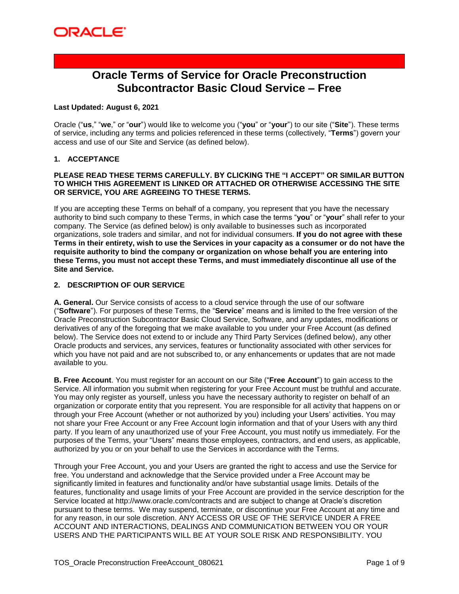## **Oracle Terms of Service for Oracle Preconstruction Subcontractor Basic Cloud Service – Free**

#### **Last Updated: August 6, 2021**

Oracle ("**us**," "**we**," or "**our**") would like to welcome you ("**you**" or "**your**") to our site ("**Site**"). These terms of service, including any terms and policies referenced in these terms (collectively, "**Terms**") govern your access and use of our Site and Service (as defined below).

#### **1. ACCEPTANCE**

#### **PLEASE READ THESE TERMS CAREFULLY. BY CLICKING THE "I ACCEPT" OR SIMILAR BUTTON TO WHICH THIS AGREEMENT IS LINKED OR ATTACHED OR OTHERWISE ACCESSING THE SITE OR SERVICE, YOU ARE AGREEING TO THESE TERMS.**

If you are accepting these Terms on behalf of a company, you represent that you have the necessary authority to bind such company to these Terms, in which case the terms "**you**" or "**your**" shall refer to your company. The Service (as defined below) is only available to businesses such as incorporated organizations, sole traders and similar, and not for individual consumers. **If you do not agree with these Terms in their entirety, wish to use the Services in your capacity as a consumer or do not have the requisite authority to bind the company or organization on whose behalf you are entering into these Terms, you must not accept these Terms, and must immediately discontinue all use of the Site and Service.** 

#### **2. DESCRIPTION OF OUR SERVICE**

**A. General.** Our Service consists of access to a cloud service through the use of our software ("**Software**"). For purposes of these Terms, the "**Service**" means and is limited to the free version of the Oracle Preconstruction Subcontractor Basic Cloud Service, Software, and any updates, modifications or derivatives of any of the foregoing that we make available to you under your Free Account (as defined below). The Service does not extend to or include any Third Party Services (defined below), any other Oracle products and services, any services, features or functionality associated with other services for which you have not paid and are not subscribed to, or any enhancements or updates that are not made available to you.

**B. Free Account**. You must register for an account on our Site ("**Free Account**") to gain access to the Service. All information you submit when registering for your Free Account must be truthful and accurate. You may only register as yourself, unless you have the necessary authority to register on behalf of an organization or corporate entity that you represent. You are responsible for all activity that happens on or through your Free Account (whether or not authorized by you) including your Users' activities. You may not share your Free Account or any Free Account login information and that of your Users with any third party. If you learn of any unauthorized use of your Free Account, you must notify us immediately. For the purposes of the Terms, your "Users" means those employees, contractors, and end users, as applicable, authorized by you or on your behalf to use the Services in accordance with the Terms.

Through your Free Account, you and your Users are granted the right to access and use the Service for free. You understand and acknowledge that the Service provided under a Free Account may be significantly limited in features and functionality and/or have substantial usage limits. Details of the features, functionality and usage limits of your Free Account are provided in the service description for the Service located at http://www.oracle.com/contracts and are subject to change at Oracle's discretion pursuant to these terms. We may suspend, terminate, or discontinue your Free Account at any time and for any reason, in our sole discretion. ANY ACCESS OR USE OF THE SERVICE UNDER A FREE ACCOUNT AND INTERACTIONS, DEALINGS AND COMMUNICATION BETWEEN YOU OR YOUR USERS AND THE PARTICIPANTS WILL BE AT YOUR SOLE RISK AND RESPONSIBILITY. YOU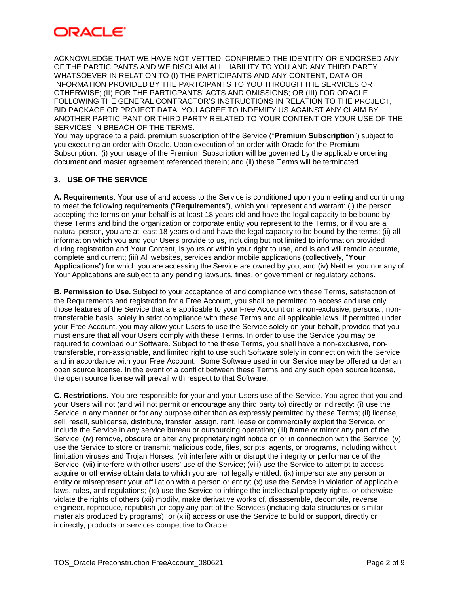## ORACI E'

ACKNOWLEDGE THAT WE HAVE NOT VETTED, CONFIRMED THE IDENTITY OR ENDORSED ANY OF THE PARTICIPANTS AND WE DISCLAIM ALL LIABILITY TO YOU AND ANY THIRD PARTY WHATSOEVER IN RELATION TO (I) THE PARTICIPANTS AND ANY CONTENT, DATA OR INFORMATION PROVIDED BY THE PARTCIPANTS TO YOU THROUGH THE SERVICES OR OTHERWISE; (II) FOR THE PARTICPANTS' ACTS AND OMISSIONS; OR (III) FOR ORACLE FOLLOWING THE GENERAL CONTRACTOR'S INSTRUCTIONS IN RELATION TO THE PROJECT, BID PACKAGE OR PROJECT DATA. YOU AGREE TO INDEMIFY US AGAINST ANY CLAIM BY ANOTHER PARTICIPANT OR THIRD PARTY RELATED TO YOUR CONTENT OR YOUR USE OF THE SERVICES IN BREACH OF THE TERMS.

You may upgrade to a paid, premium subscription of the Service ("**Premium Subscription**") subject to you executing an order with Oracle. Upon execution of an order with Oracle for the Premium Subscription, (i) your usage of the Premium Subscription will be governed by the applicable ordering document and master agreement referenced therein; and (ii) these Terms will be terminated.

## **3. USE OF THE SERVICE**

**A. Requirements**. Your use of and access to the Service is conditioned upon you meeting and continuing to meet the following requirements ("**Requirements**"), which you represent and warrant: (i) the person accepting the terms on your behalf is at least 18 years old and have the legal capacity to be bound by these Terms and bind the organization or corporate entity you represent to the Terms, or if you are a natural person, you are at least 18 years old and have the legal capacity to be bound by the terms; (ii) all information which you and your Users provide to us, including but not limited to information provided during registration and Your Content, is yours or within your right to use, and is and will remain accurate, complete and current; (iii) All websites, services and/or mobile applications (collectively, "**Your Applications**") for which you are accessing the Service are owned by you; and (iv) Neither you nor any of Your Applications are subject to any pending lawsuits, fines, or government or regulatory actions.

**B. Permission to Use.** Subject to your acceptance of and compliance with these Terms, satisfaction of the Requirements and registration for a Free Account, you shall be permitted to access and use only those features of the Service that are applicable to your Free Account on a non-exclusive, personal, nontransferable basis, solely in strict compliance with these Terms and all applicable laws. If permitted under your Free Account, you may allow your Users to use the Service solely on your behalf, provided that you must ensure that all your Users comply with these Terms. In order to use the Service you may be required to download our Software. Subject to the these Terms, you shall have a non-exclusive, nontransferable, non-assignable, and limited right to use such Software solely in connection with the Service and in accordance with your Free Account. Some Software used in our Service may be offered under an open source license. In the event of a conflict between these Terms and any such open source license, the open source license will prevail with respect to that Software.

**C. Restrictions.** You are responsible for your and your Users use of the Service. You agree that you and your Users will not (and will not permit or encourage any third party to) directly or indirectly: (i) use the Service in any manner or for any purpose other than as expressly permitted by these Terms; (ii) license, sell, resell, sublicense, distribute, transfer, assign, rent, lease or commercially exploit the Service, or include the Service in any service bureau or outsourcing operation; (iii) frame or mirror any part of the Service; (iv) remove, obscure or alter any proprietary right notice on or in connection with the Service; (v) use the Service to store or transmit malicious code, files, scripts, agents, or programs, including without limitation viruses and Trojan Horses; (vi) interfere with or disrupt the integrity or performance of the Service; (vii) interfere with other users' use of the Service; (viii) use the Service to attempt to access, acquire or otherwise obtain data to which you are not legally entitled; (ix) impersonate any person or entity or misrepresent your affiliation with a person or entity; (x) use the Service in violation of applicable laws, rules, and regulations; (xi) use the Service to infringe the intellectual property rights, or otherwise violate the rights of others (xii) modify, make derivative works of, disassemble, decompile, reverse engineer, reproduce, republish ,or copy any part of the Services (including data structures or similar materials produced by programs); or (xiii) access or use the Service to build or support, directly or indirectly, products or services competitive to Oracle.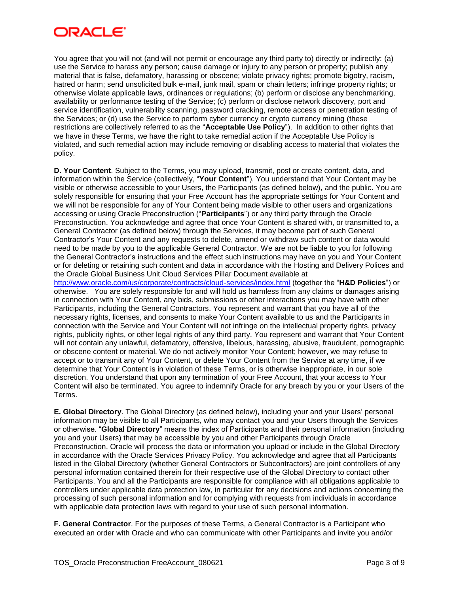## ORACI E'

You agree that you will not (and will not permit or encourage any third party to) directly or indirectly: (a) use the Service to harass any person; cause damage or injury to any person or property; publish any material that is false, defamatory, harassing or obscene; violate privacy rights; promote bigotry, racism, hatred or harm; send unsolicited bulk e-mail, junk mail, spam or chain letters; infringe property rights; or otherwise violate applicable laws, ordinances or regulations; (b) perform or disclose any benchmarking, availability or performance testing of the Service; (c) perform or disclose network discovery, port and service identification, vulnerability scanning, password cracking, remote access or penetration testing of the Services; or (d) use the Service to perform cyber currency or crypto currency mining (these restrictions are collectively referred to as the "**Acceptable Use Policy**"). In addition to other rights that we have in these Terms, we have the right to take remedial action if the Acceptable Use Policy is violated, and such remedial action may include removing or disabling access to material that violates the policy.

**D. Your Content**. Subject to the Terms, you may upload, transmit, post or create content, data, and information within the Service (collectively, "**Your Content**"). You understand that Your Content may be visible or otherwise accessible to your Users, the Participants (as defined below), and the public. You are solely responsible for ensuring that your Free Account has the appropriate settings for Your Content and we will not be responsible for any of Your Content being made visible to other users and organizations accessing or using Oracle Preconstruction ("**Participants**") or any third party through the Oracle Preconstruction. You acknowledge and agree that once Your Content is shared with, or transmitted to, a General Contractor (as defined below) through the Services, it may become part of such General Contractor's Your Content and any requests to delete, amend or withdraw such content or data would need to be made by you to the applicable General Contractor. We are not be liable to you for following the General Contractor's instructions and the effect such instructions may have on you and Your Content or for deleting or retaining such content and data in accordance with the Hosting and Delivery Polices and the Oracle Global Business Unit Cloud Services Pillar Document available at <http://www.oracle.com/us/corporate/contracts/cloud-services/index.html> (together the "**H&D Policies**") or otherwise. You are solely responsible for and will hold us harmless from any claims or damages arising in connection with Your Content, any bids, submissions or other interactions you may have with other Participants, including the General Contractors. You represent and warrant that you have all of the necessary rights, licenses, and consents to make Your Content available to us and the Participants in connection with the Service and Your Content will not infringe on the intellectual property rights, privacy rights, publicity rights, or other legal rights of any third party. You represent and warrant that Your Content will not contain any unlawful, defamatory, offensive, libelous, harassing, abusive, fraudulent, pornographic or obscene content or material. We do not actively monitor Your Content; however, we may refuse to accept or to transmit any of Your Content, or delete Your Content from the Service at any time, if we determine that Your Content is in violation of these Terms, or is otherwise inappropriate, in our sole discretion. You understand that upon any termination of your Free Account, that your access to Your Content will also be terminated. You agree to indemnify Oracle for any breach by you or your Users of the Terms.

**E. Global Directory**. The Global Directory (as defined below), including your and your Users' personal information may be visible to all Participants, who may contact you and your Users through the Services or otherwise. "**Global Directory**" means the index of Participants and their personal information (including you and your Users) that may be accessible by you and other Participants through Oracle Preconstruction. Oracle will process the data or information you upload or include in the Global Directory in accordance with the Oracle Services Privacy Policy. You acknowledge and agree that all Participants listed in the Global Directory (whether General Contractors or Subcontractors) are joint controllers of any personal information contained therein for their respective use of the Global Directory to contact other Participants. You and all the Participants are responsible for compliance with all obligations applicable to controllers under applicable data protection law, in particular for any decisions and actions concerning the processing of such personal information and for complying with requests from individuals in accordance with applicable data protection laws with regard to your use of such personal information.

**F. General Contractor**. For the purposes of these Terms, a General Contractor is a Participant who executed an order with Oracle and who can communicate with other Participants and invite you and/or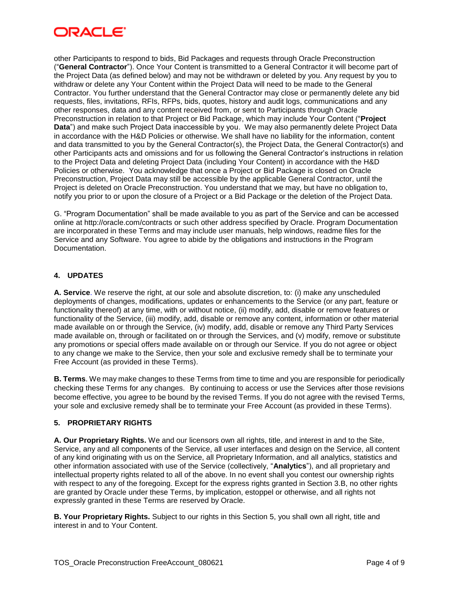

other Participants to respond to bids, Bid Packages and requests through Oracle Preconstruction ("**General Contractor**"). Once Your Content is transmitted to a General Contractor it will become part of the Project Data (as defined below) and may not be withdrawn or deleted by you. Any request by you to withdraw or delete any Your Content within the Project Data will need to be made to the General Contractor. You further understand that the General Contractor may close or permanently delete any bid requests, files, invitations, RFIs, RFPs, bids, quotes, history and audit logs, communications and any other responses, data and any content received from, or sent to Participants through Oracle Preconstruction in relation to that Project or Bid Package, which may include Your Content ("**Project Data**") and make such Project Data inaccessible by you. We may also permanently delete Project Data in accordance with the H&D Policies or otherwise. We shall have no liability for the information, content and data transmitted to you by the General Contractor(s), the Project Data, the General Contractor(s) and other Participants acts and omissions and for us following the General Contractor's instructions in relation to the Project Data and deleting Project Data (including Your Content) in accordance with the H&D Policies or otherwise. You acknowledge that once a Project or Bid Package is closed on Oracle Preconstruction, Project Data may still be accessible by the applicable General Contractor, until the Project is deleted on Oracle Preconstruction. You understand that we may, but have no obligation to, notify you prior to or upon the closure of a Project or a Bid Package or the deletion of the Project Data.

G. "Program Documentation" shall be made available to you as part of the Service and can be accessed online at<http://oracle.com/contracts> or such other address specified by Oracle. Program Documentation are incorporated in these Terms and may include user manuals, help windows, readme files for the Service and any Software. You agree to abide by the obligations and instructions in the Program Documentation.

### **4. UPDATES**

**A. Service**. We reserve the right, at our sole and absolute discretion, to: (i) make any unscheduled deployments of changes, modifications, updates or enhancements to the Service (or any part, feature or functionality thereof) at any time, with or without notice, (ii) modify, add, disable or remove features or functionality of the Service, (iii) modify, add, disable or remove any content, information or other material made available on or through the Service, (iv) modify, add, disable or remove any Third Party Services made available on, through or facilitated on or through the Services, and (v) modify, remove or substitute any promotions or special offers made available on or through our Service. If you do not agree or object to any change we make to the Service, then your sole and exclusive remedy shall be to terminate your Free Account (as provided in these Terms).

**B. Terms**. We may make changes to these Terms from time to time and you are responsible for periodically checking these Terms for any changes. By continuing to access or use the Services after those revisions become effective, you agree to be bound by the revised Terms. If you do not agree with the revised Terms, your sole and exclusive remedy shall be to terminate your Free Account (as provided in these Terms).

### **5. PROPRIETARY RIGHTS**

**A. Our Proprietary Rights.** We and our licensors own all rights, title, and interest in and to the Site, Service, any and all components of the Service, all user interfaces and design on the Service, all content of any kind originating with us on the Service, all Proprietary Information, and all analytics, statistics and other information associated with use of the Service (collectively, "**Analytics**"), and all proprietary and intellectual property rights related to all of the above. In no event shall you contest our ownership rights with respect to any of the foregoing. Except for the express rights granted in Section 3.B, no other rights are granted by Oracle under these Terms, by implication, estoppel or otherwise, and all rights not expressly granted in these Terms are reserved by Oracle.

**B. Your Proprietary Rights.** Subject to our rights in this Section 5, you shall own all right, title and interest in and to Your Content.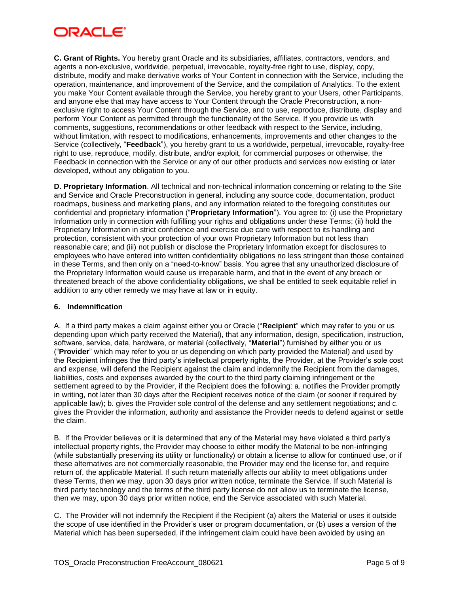# ORACLE

**C. Grant of Rights.** You hereby grant Oracle and its subsidiaries, affiliates, contractors, vendors, and agents a non-exclusive, worldwide, perpetual, irrevocable, royalty-free right to use, display, copy, distribute, modify and make derivative works of Your Content in connection with the Service, including the operation, maintenance, and improvement of the Service, and the compilation of Analytics. To the extent you make Your Content available through the Service, you hereby grant to your Users, other Participants, and anyone else that may have access to Your Content through the Oracle Preconstruction, a nonexclusive right to access Your Content through the Service, and to use, reproduce, distribute, display and perform Your Content as permitted through the functionality of the Service. If you provide us with comments, suggestions, recommendations or other feedback with respect to the Service, including, without limitation, with respect to modifications, enhancements, improvements and other changes to the Service (collectively, "**Feedback**"), you hereby grant to us a worldwide, perpetual, irrevocable, royalty-free right to use, reproduce, modify, distribute, and/or exploit, for commercial purposes or otherwise, the Feedback in connection with the Service or any of our other products and services now existing or later developed, without any obligation to you.

**D. Proprietary Information**. All technical and non-technical information concerning or relating to the Site and Service and Oracle Preconstruction in general, including any source code, documentation, product roadmaps, business and marketing plans, and any information related to the foregoing constitutes our confidential and proprietary information ("**Proprietary Information**"). You agree to: (i) use the Proprietary Information only in connection with fulfilling your rights and obligations under these Terms; (ii) hold the Proprietary Information in strict confidence and exercise due care with respect to its handling and protection, consistent with your protection of your own Proprietary Information but not less than reasonable care; and (iii) not publish or disclose the Proprietary Information except for disclosures to employees who have entered into written confidentiality obligations no less stringent than those contained in these Terms, and then only on a "need-to-know" basis. You agree that any unauthorized disclosure of the Proprietary Information would cause us irreparable harm, and that in the event of any breach or threatened breach of the above confidentiality obligations, we shall be entitled to seek equitable relief in addition to any other remedy we may have at law or in equity.

### **6. Indemnification**

A. If a third party makes a claim against either you or Oracle ("**Recipient**" which may refer to you or us depending upon which party received the Material), that any information, design, specification, instruction, software, service, data, hardware, or material (collectively, "**Material**") furnished by either you or us ("**Provider**" which may refer to you or us depending on which party provided the Material) and used by the Recipient infringes the third party's intellectual property rights, the Provider, at the Provider's sole cost and expense, will defend the Recipient against the claim and indemnify the Recipient from the damages, liabilities, costs and expenses awarded by the court to the third party claiming infringement or the settlement agreed to by the Provider, if the Recipient does the following: a. notifies the Provider promptly in writing, not later than 30 days after the Recipient receives notice of the claim (or sooner if required by applicable law); b. gives the Provider sole control of the defense and any settlement negotiations; and c. gives the Provider the information, authority and assistance the Provider needs to defend against or settle the claim.

B. If the Provider believes or it is determined that any of the Material may have violated a third party's intellectual property rights, the Provider may choose to either modify the Material to be non-infringing (while substantially preserving its utility or functionality) or obtain a license to allow for continued use, or if these alternatives are not commercially reasonable, the Provider may end the license for, and require return of, the applicable Material. If such return materially affects our ability to meet obligations under these Terms, then we may, upon 30 days prior written notice, terminate the Service. If such Material is third party technology and the terms of the third party license do not allow us to terminate the license, then we may, upon 30 days prior written notice, end the Service associated with such Material.

C. The Provider will not indemnify the Recipient if the Recipient (a) alters the Material or uses it outside the scope of use identified in the Provider's user or program documentation, or (b) uses a version of the Material which has been superseded, if the infringement claim could have been avoided by using an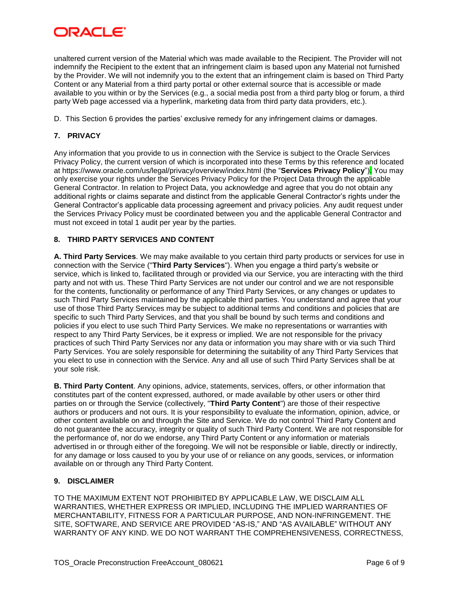## ORACL E

unaltered current version of the Material which was made available to the Recipient. The Provider will not indemnify the Recipient to the extent that an infringement claim is based upon any Material not furnished by the Provider. We will not indemnify you to the extent that an infringement claim is based on Third Party Content or any Material from a third party portal or other external source that is accessible or made available to you within or by the Services (e.g., a social media post from a third party blog or forum, a third party Web page accessed via a hyperlink, marketing data from third party data providers, etc.).

D. This Section 6 provides the parties' exclusive remedy for any infringement claims or damages.

## **7. PRIVACY**

Any information that you provide to us in connection with the Service is subject to the Oracle Services Privacy Policy, the current version of which is incorporated into these Terms by this reference and located at https://www.oracle.com/us/legal/privacy/overview/index.html (the "**Services Privacy Policy**"). You may only exercise your rights under the Services Privacy Policy for the Project Data through the applicable General Contractor. In relation to Project Data, you acknowledge and agree that you do not obtain any additional rights or claims separate and distinct from the applicable General Contractor's rights under the General Contractor's applicable data processing agreement and privacy policies. Any audit request under the Services Privacy Policy must be coordinated between you and the applicable General Contractor and must not exceed in total 1 audit per year by the parties.

### **8. THIRD PARTY SERVICES AND CONTENT**

**A. Third Party Services**. We may make available to you certain third party products or services for use in connection with the Service ("**Third Party Services**"). When you engage a third party's website or service, which is linked to, facilitated through or provided via our Service, you are interacting with the third party and not with us. These Third Party Services are not under our control and we are not responsible for the contents, functionality or performance of any Third Party Services, or any changes or updates to such Third Party Services maintained by the applicable third parties. You understand and agree that your use of those Third Party Services may be subject to additional terms and conditions and policies that are specific to such Third Party Services, and that you shall be bound by such terms and conditions and policies if you elect to use such Third Party Services. We make no representations or warranties with respect to any Third Party Services, be it express or implied. We are not responsible for the privacy practices of such Third Party Services nor any data or information you may share with or via such Third Party Services. You are solely responsible for determining the suitability of any Third Party Services that you elect to use in connection with the Service. Any and all use of such Third Party Services shall be at your sole risk.

**B. Third Party Content**. Any opinions, advice, statements, services, offers, or other information that constitutes part of the content expressed, authored, or made available by other users or other third parties on or through the Service (collectively, "**Third Party Content**") are those of their respective authors or producers and not ours. It is your responsibility to evaluate the information, opinion, advice, or other content available on and through the Site and Service. We do not control Third Party Content and do not guarantee the accuracy, integrity or quality of such Third Party Content. We are not responsible for the performance of, nor do we endorse, any Third Party Content or any information or materials advertised in or through either of the foregoing. We will not be responsible or liable, directly or indirectly, for any damage or loss caused to you by your use of or reliance on any goods, services, or information available on or through any Third Party Content.

### **9. DISCLAIMER**

TO THE MAXIMUM EXTENT NOT PROHIBITED BY APPLICABLE LAW, WE DISCLAIM ALL WARRANTIES, WHETHER EXPRESS OR IMPLIED, INCLUDING THE IMPLIED WARRANTIES OF MERCHANTABILITY, FITNESS FOR A PARTICULAR PURPOSE, AND NON-INFRINGEMENT. THE SITE, SOFTWARE, AND SERVICE ARE PROVIDED "AS-IS," AND "AS AVAILABLE" WITHOUT ANY WARRANTY OF ANY KIND. WE DO NOT WARRANT THE COMPREHENSIVENESS, CORRECTNESS,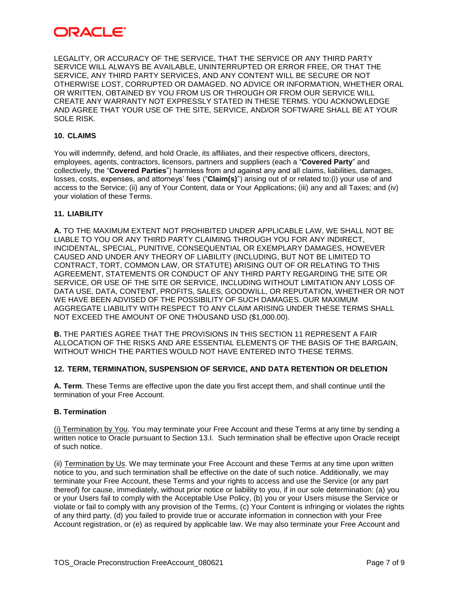## ORACLE'

LEGALITY, OR ACCURACY OF THE SERVICE, THAT THE SERVICE OR ANY THIRD PARTY SERVICE WILL ALWAYS BE AVAILABLE, UNINTERRUPTED OR ERROR FREE, OR THAT THE SERVICE, ANY THIRD PARTY SERVICES, AND ANY CONTENT WILL BE SECURE OR NOT OTHERWISE LOST, CORRUPTED OR DAMAGED. NO ADVICE OR INFORMATION, WHETHER ORAL OR WRITTEN, OBTAINED BY YOU FROM US OR THROUGH OR FROM OUR SERVICE WILL CREATE ANY WARRANTY NOT EXPRESSLY STATED IN THESE TERMS. YOU ACKNOWLEDGE AND AGREE THAT YOUR USE OF THE SITE, SERVICE, AND/OR SOFTWARE SHALL BE AT YOUR SOLE RISK.

### **10. CLAIMS**

You will indemnify, defend, and hold Oracle, its affiliates, and their respective officers, directors, employees, agents, contractors, licensors, partners and suppliers (each a "**Covered Party**" and collectively, the "**Covered Parties**") harmless from and against any and all claims, liabilities, damages, losses, costs, expenses, and attorneys' fees ("**Claim(s)**") arising out of or related to:(i) your use of and access to the Service; (ii) any of Your Content, data or Your Applications; (iii) any and all Taxes; and (iv) your violation of these Terms.

#### **11. LIABILITY**

**A.** TO THE MAXIMUM EXTENT NOT PROHIBITED UNDER APPLICABLE LAW, WE SHALL NOT BE LIABLE TO YOU OR ANY THIRD PARTY CLAIMING THROUGH YOU FOR ANY INDIRECT, INCIDENTAL, SPECIAL, PUNITIVE, CONSEQUENTIAL OR EXEMPLARY DAMAGES, HOWEVER CAUSED AND UNDER ANY THEORY OF LIABILITY (INCLUDING, BUT NOT BE LIMITED TO CONTRACT, TORT, COMMON LAW, OR STATUTE) ARISING OUT OF OR RELATING TO THIS AGREEMENT, STATEMENTS OR CONDUCT OF ANY THIRD PARTY REGARDING THE SITE OR SERVICE, OR USE OF THE SITE OR SERVICE, INCLUDING WITHOUT LIMITATION ANY LOSS OF DATA USE, DATA, CONTENT, PROFITS, SALES, GOODWILL, OR REPUTATION, WHETHER OR NOT WE HAVE BEEN ADVISED OF THE POSSIBILITY OF SUCH DAMAGES. OUR MAXIMUM AGGREGATE LIABILITY WITH RESPECT TO ANY CLAIM ARISING UNDER THESE TERMS SHALL NOT EXCEED THE AMOUNT OF ONE THOUSAND USD (\$1,000.00).

**B.** THE PARTIES AGREE THAT THE PROVISIONS IN THIS SECTION 11 REPRESENT A FAIR ALLOCATION OF THE RISKS AND ARE ESSENTIAL ELEMENTS OF THE BASIS OF THE BARGAIN, WITHOUT WHICH THE PARTIES WOULD NOT HAVE ENTERED INTO THESE TERMS.

#### **12. TERM, TERMINATION, SUSPENSION OF SERVICE, AND DATA RETENTION OR DELETION**

**A. Term**. These Terms are effective upon the date you first accept them, and shall continue until the termination of your Free Account.

#### **B. Termination**

(i) Termination by You. You may terminate your Free Account and these Terms at any time by sending a written notice to Oracle pursuant to Section 13.I. Such termination shall be effective upon Oracle receipt of such notice.

(ii) Termination by Us. We may terminate your Free Account and these Terms at any time upon written notice to you, and such termination shall be effective on the date of such notice. Additionally, we may terminate your Free Account, these Terms and your rights to access and use the Service (or any part thereof) for cause, immediately, without prior notice or liability to you, if in our sole determination: (a) you or your Users fail to comply with the Acceptable Use Policy, (b) you or your Users misuse the Service or violate or fail to comply with any provision of the Terms, (c) Your Content is infringing or violates the rights of any third party, (d) you failed to provide true or accurate information in connection with your Free Account registration, or (e) as required by applicable law. We may also terminate your Free Account and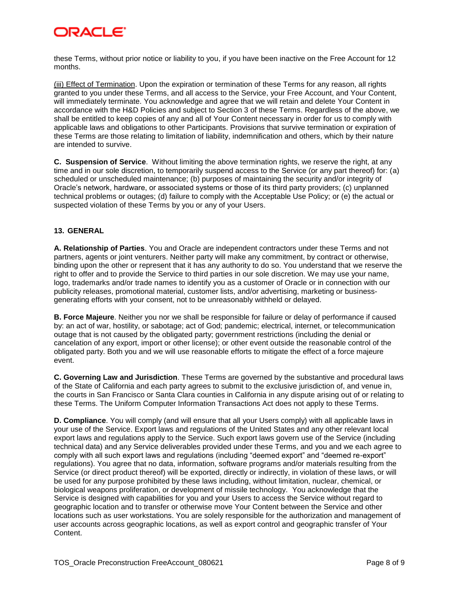# ORACI E'

these Terms, without prior notice or liability to you, if you have been inactive on the Free Account for 12 months.

(iii) Effect of Termination. Upon the expiration or termination of these Terms for any reason, all rights granted to you under these Terms, and all access to the Service, your Free Account, and Your Content, will immediately terminate. You acknowledge and agree that we will retain and delete Your Content in accordance with the H&D Policies and subject to Section 3 of these Terms. Regardless of the above, we shall be entitled to keep copies of any and all of Your Content necessary in order for us to comply with applicable laws and obligations to other Participants. Provisions that survive termination or expiration of these Terms are those relating to limitation of liability, indemnification and others, which by their nature are intended to survive.

**C. Suspension of Service**. Without limiting the above termination rights, we reserve the right, at any time and in our sole discretion, to temporarily suspend access to the Service (or any part thereof) for: (a) scheduled or unscheduled maintenance; (b) purposes of maintaining the security and/or integrity of Oracle's network, hardware, or associated systems or those of its third party providers; (c) unplanned technical problems or outages; (d) failure to comply with the Acceptable Use Policy; or (e) the actual or suspected violation of these Terms by you or any of your Users.

### **13. GENERAL**

**A. Relationship of Parties**. You and Oracle are independent contractors under these Terms and not partners, agents or joint venturers. Neither party will make any commitment, by contract or otherwise, binding upon the other or represent that it has any authority to do so. You understand that we reserve the right to offer and to provide the Service to third parties in our sole discretion. We may use your name, logo, trademarks and/or trade names to identify you as a customer of Oracle or in connection with our publicity releases, promotional material, customer lists, and/or advertising, marketing or businessgenerating efforts with your consent, not to be unreasonably withheld or delayed.

**B. Force Majeure**. Neither you nor we shall be responsible for failure or delay of performance if caused by: an act of war, hostility, or sabotage; act of God; pandemic; electrical, internet, or telecommunication outage that is not caused by the obligated party; government restrictions (including the denial or cancelation of any export, import or other license); or other event outside the reasonable control of the obligated party. Both you and we will use reasonable efforts to mitigate the effect of a force majeure event.

**C. Governing Law and Jurisdiction**. These Terms are governed by the substantive and procedural laws of the State of California and each party agrees to submit to the exclusive jurisdiction of, and venue in, the courts in San Francisco or Santa Clara counties in California in any dispute arising out of or relating to these Terms. The Uniform Computer Information Transactions Act does not apply to these Terms.

**D. Compliance**. You will comply (and will ensure that all your Users comply) with all applicable laws in your use of the Service. Export laws and regulations of the United States and any other relevant local export laws and regulations apply to the Service. Such export laws govern use of the Service (including technical data) and any Service deliverables provided under these Terms, and you and we each agree to comply with all such export laws and regulations (including "deemed export" and "deemed re-export" regulations). You agree that no data, information, software programs and/or materials resulting from the Service (or direct product thereof) will be exported, directly or indirectly, in violation of these laws, or will be used for any purpose prohibited by these laws including, without limitation, nuclear, chemical, or biological weapons proliferation, or development of missile technology. You acknowledge that the Service is designed with capabilities for you and your Users to access the Service without regard to geographic location and to transfer or otherwise move Your Content between the Service and other locations such as user workstations. You are solely responsible for the authorization and management of user accounts across geographic locations, as well as export control and geographic transfer of Your Content.